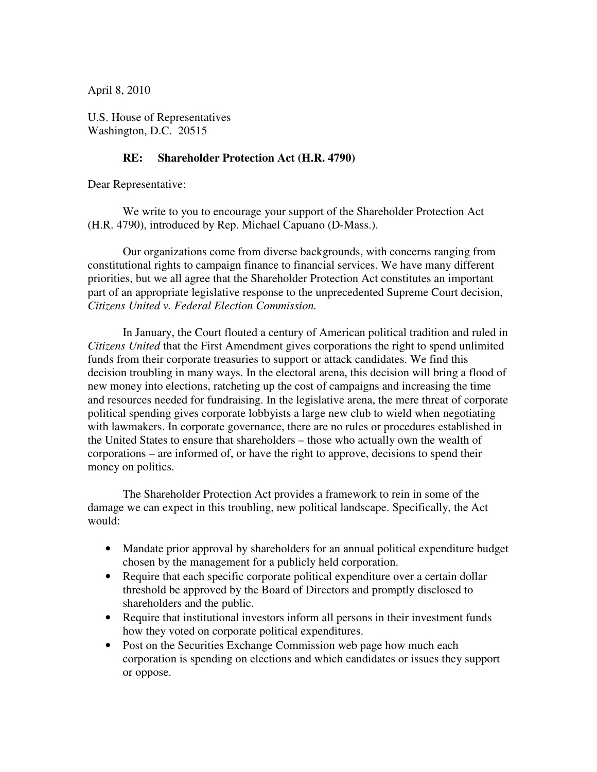April 8, 2010

U.S. House of Representatives Washington, D.C. 20515

## **RE: Shareholder Protection Act (H.R. 4790)**

Dear Representative:

 We write to you to encourage your support of the Shareholder Protection Act (H.R. 4790), introduced by Rep. Michael Capuano (D-Mass.).

 Our organizations come from diverse backgrounds, with concerns ranging from constitutional rights to campaign finance to financial services. We have many different priorities, but we all agree that the Shareholder Protection Act constitutes an important part of an appropriate legislative response to the unprecedented Supreme Court decision, *Citizens United v. Federal Election Commission.*

 In January, the Court flouted a century of American political tradition and ruled in *Citizens United* that the First Amendment gives corporations the right to spend unlimited funds from their corporate treasuries to support or attack candidates. We find this decision troubling in many ways. In the electoral arena, this decision will bring a flood of new money into elections, ratcheting up the cost of campaigns and increasing the time and resources needed for fundraising. In the legislative arena, the mere threat of corporate political spending gives corporate lobbyists a large new club to wield when negotiating with lawmakers. In corporate governance, there are no rules or procedures established in the United States to ensure that shareholders – those who actually own the wealth of corporations – are informed of, or have the right to approve, decisions to spend their money on politics.

 The Shareholder Protection Act provides a framework to rein in some of the damage we can expect in this troubling, new political landscape. Specifically, the Act would:

- Mandate prior approval by shareholders for an annual political expenditure budget chosen by the management for a publicly held corporation.
- Require that each specific corporate political expenditure over a certain dollar threshold be approved by the Board of Directors and promptly disclosed to shareholders and the public.
- Require that institutional investors inform all persons in their investment funds how they voted on corporate political expenditures.
- Post on the Securities Exchange Commission web page how much each corporation is spending on elections and which candidates or issues they support or oppose.